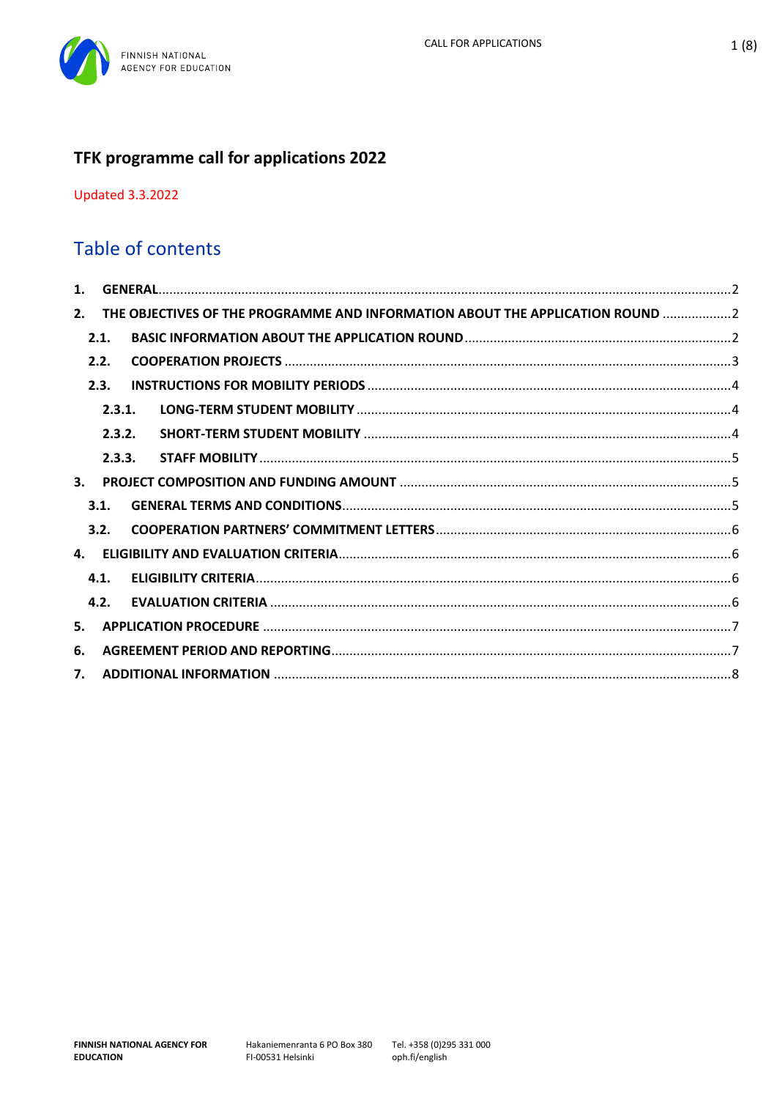

# TFK programme call for applications 2022

**Updated 3.3.2022** 

## Table of contents

| 1. |        |  |                                                                               |  |
|----|--------|--|-------------------------------------------------------------------------------|--|
| 2. |        |  | THE OBJECTIVES OF THE PROGRAMME AND INFORMATION ABOUT THE APPLICATION ROUND 2 |  |
|    | 2.1.   |  |                                                                               |  |
|    | 2.2.   |  |                                                                               |  |
|    | 2.3.   |  |                                                                               |  |
|    | 2.3.1. |  |                                                                               |  |
|    | 2.3.2. |  |                                                                               |  |
|    | 2.3.3. |  |                                                                               |  |
| 3. |        |  |                                                                               |  |
|    | 3.1.   |  |                                                                               |  |
|    | 3.2.   |  |                                                                               |  |
| 4. |        |  |                                                                               |  |
|    | 4.1.   |  |                                                                               |  |
|    | 4.2.   |  |                                                                               |  |
| 5. |        |  |                                                                               |  |
| 6. |        |  |                                                                               |  |
| 7. |        |  |                                                                               |  |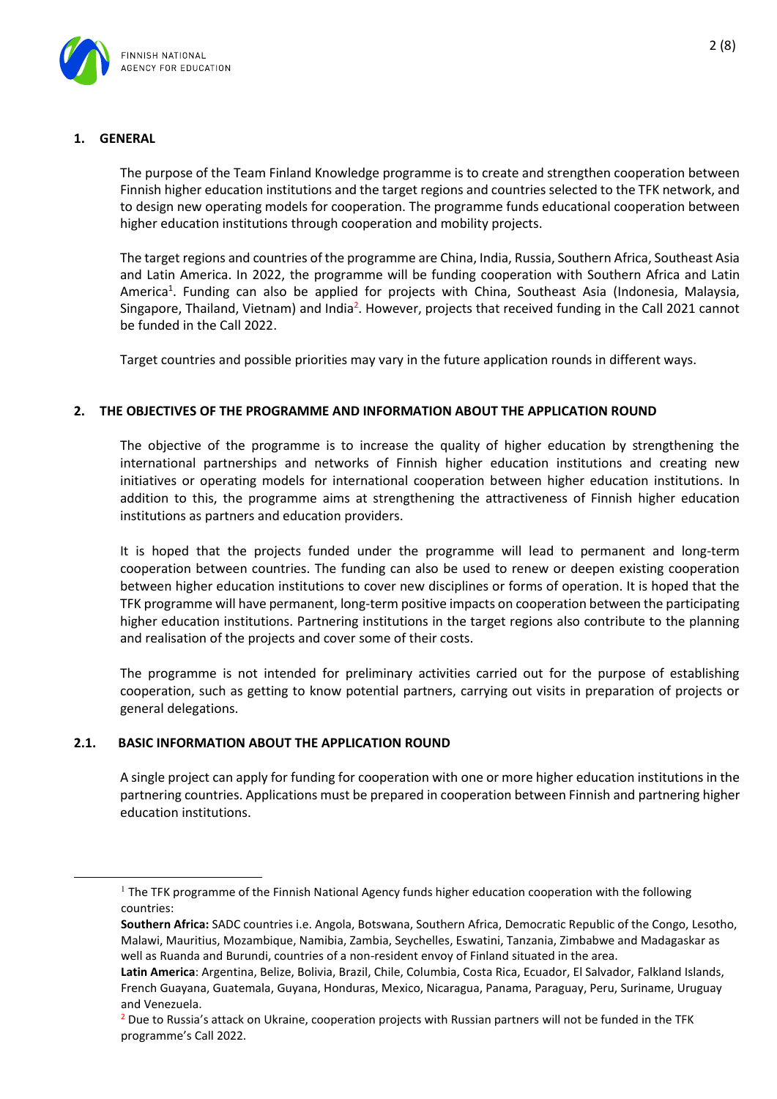

## <span id="page-1-0"></span>**1. GENERAL**

The purpose of the Team Finland Knowledge programme is to create and strengthen cooperation between Finnish higher education institutions and the target regions and countries selected to the TFK network, and to design new operating models for cooperation. The programme funds educational cooperation between higher education institutions through cooperation and mobility projects.

The target regions and countries of the programme are China, India, Russia, Southern Africa, Southeast Asia and Latin America. In 2022, the programme will be funding cooperation with Southern Africa and Latin America<sup>1</sup>. Funding can also be applied for projects with China, Southeast Asia (Indonesia, Malaysia, Singapore, Thailand, Vietnam) and India<sup>2</sup>. However, projects that received funding in the Call 2021 cannot be funded in the Call 2022.

Target countries and possible priorities may vary in the future application rounds in different ways.

#### <span id="page-1-1"></span>**2. THE OBJECTIVES OF THE PROGRAMME AND INFORMATION ABOUT THE APPLICATION ROUND**

The objective of the programme is to increase the quality of higher education by strengthening the international partnerships and networks of Finnish higher education institutions and creating new initiatives or operating models for international cooperation between higher education institutions. In addition to this, the programme aims at strengthening the attractiveness of Finnish higher education institutions as partners and education providers.

It is hoped that the projects funded under the programme will lead to permanent and long-term cooperation between countries. The funding can also be used to renew or deepen existing cooperation between higher education institutions to cover new disciplines or forms of operation. It is hoped that the TFK programme will have permanent, long-term positive impacts on cooperation between the participating higher education institutions. Partnering institutions in the target regions also contribute to the planning and realisation of the projects and cover some of their costs.

The programme is not intended for preliminary activities carried out for the purpose of establishing cooperation, such as getting to know potential partners, carrying out visits in preparation of projects or general delegations.

#### <span id="page-1-2"></span>**2.1. BASIC INFORMATION ABOUT THE APPLICATION ROUND**

A single project can apply for funding for cooperation with one or more higher education institutions in the partnering countries. Applications must be prepared in cooperation between Finnish and partnering higher education institutions.

 $1$  The TFK programme of the Finnish National Agency funds higher education cooperation with the following countries:

**Southern Africa:** SADC countries i.e. Angola, Botswana, Southern Africa, Democratic Republic of the Congo, Lesotho, Malawi, Mauritius, Mozambique, Namibia, Zambia, Seychelles, Eswatini, Tanzania, Zimbabwe and Madagaskar as well as Ruanda and Burundi, countries of a non-resident envoy of Finland situated in the area.

**Latin America**: Argentina, Belize, Bolivia, Brazil, Chile, Columbia, Costa Rica, Ecuador, El Salvador, Falkland Islands, French Guayana, Guatemala, Guyana, Honduras, Mexico, Nicaragua, Panama, Paraguay, Peru, Suriname, Uruguay and Venezuela.

<sup>&</sup>lt;sup>2</sup> Due to Russia's attack on Ukraine, cooperation projects with Russian partners will not be funded in the TFK programme's Call 2022.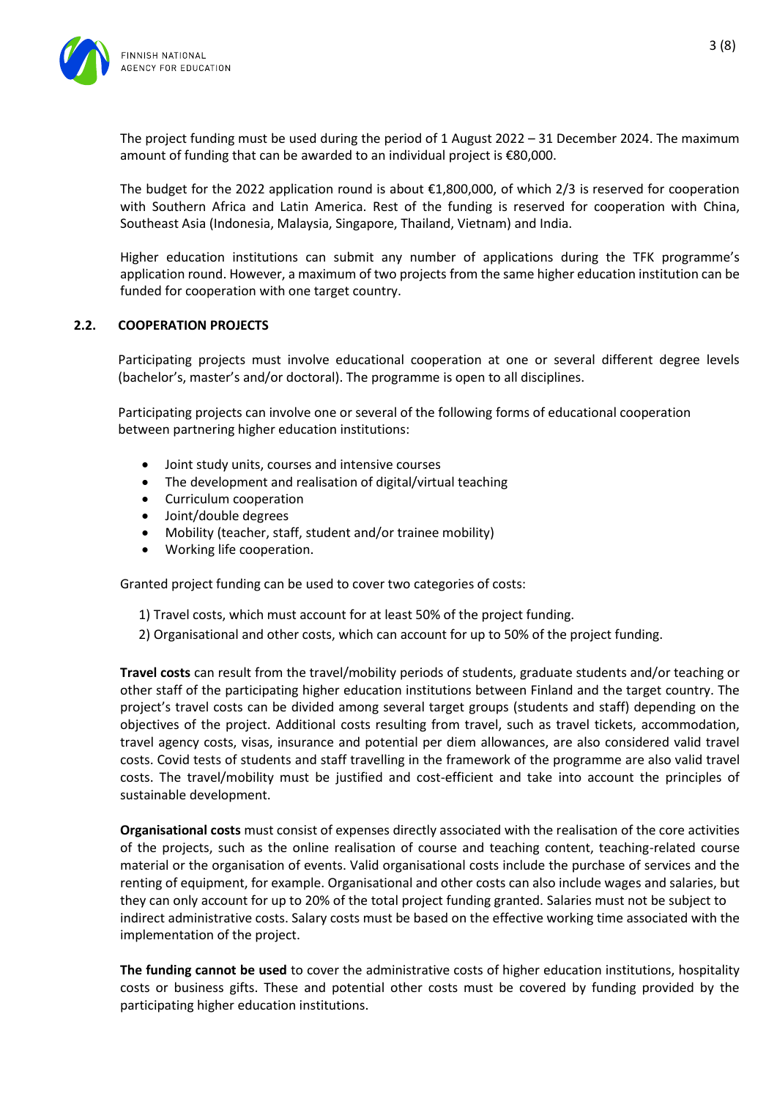

The project funding must be used during the period of 1 August 2022 – 31 December 2024. The maximum amount of funding that can be awarded to an individual project is €80,000.

The budget for the 2022 application round is about  $\epsilon$ 1,800,000, of which 2/3 is reserved for cooperation with Southern Africa and Latin America. Rest of the funding is reserved for cooperation with China, Southeast Asia (Indonesia, Malaysia, Singapore, Thailand, Vietnam) and India.

Higher education institutions can submit any number of applications during the TFK programme's application round. However, a maximum of two projects from the same higher education institution can be funded for cooperation with one target country.

#### <span id="page-2-0"></span>**2.2. COOPERATION PROJECTS**

Participating projects must involve educational cooperation at one or several different degree levels (bachelor's, master's and/or doctoral). The programme is open to all disciplines.

Participating projects can involve one or several of the following forms of educational cooperation between partnering higher education institutions:

- Joint study units, courses and intensive courses
- The development and realisation of digital/virtual teaching
- Curriculum cooperation
- Joint/double degrees
- Mobility (teacher, staff, student and/or trainee mobility)
- Working life cooperation.

Granted project funding can be used to cover two categories of costs:

- 1) Travel costs, which must account for at least 50% of the project funding.
- 2) Organisational and other costs, which can account for up to 50% of the project funding.

**Travel costs** can result from the travel/mobility periods of students, graduate students and/or teaching or other staff of the participating higher education institutions between Finland and the target country. The project's travel costs can be divided among several target groups (students and staff) depending on the objectives of the project. Additional costs resulting from travel, such as travel tickets, accommodation, travel agency costs, visas, insurance and potential per diem allowances, are also considered valid travel costs. Covid tests of students and staff travelling in the framework of the programme are also valid travel costs. The travel/mobility must be justified and cost-efficient and take into account the principles of sustainable development.

**Organisational costs** must consist of expenses directly associated with the realisation of the core activities of the projects, such as the online realisation of course and teaching content, teaching-related course material or the organisation of events. Valid organisational costs include the purchase of services and the renting of equipment, for example. Organisational and other costs can also include wages and salaries, but they can only account for up to 20% of the total project funding granted. Salaries must not be subject to indirect administrative costs. Salary costs must be based on the effective working time associated with the implementation of the project.

**The funding cannot be used** to cover the administrative costs of higher education institutions, hospitality costs or business gifts. These and potential other costs must be covered by funding provided by the participating higher education institutions.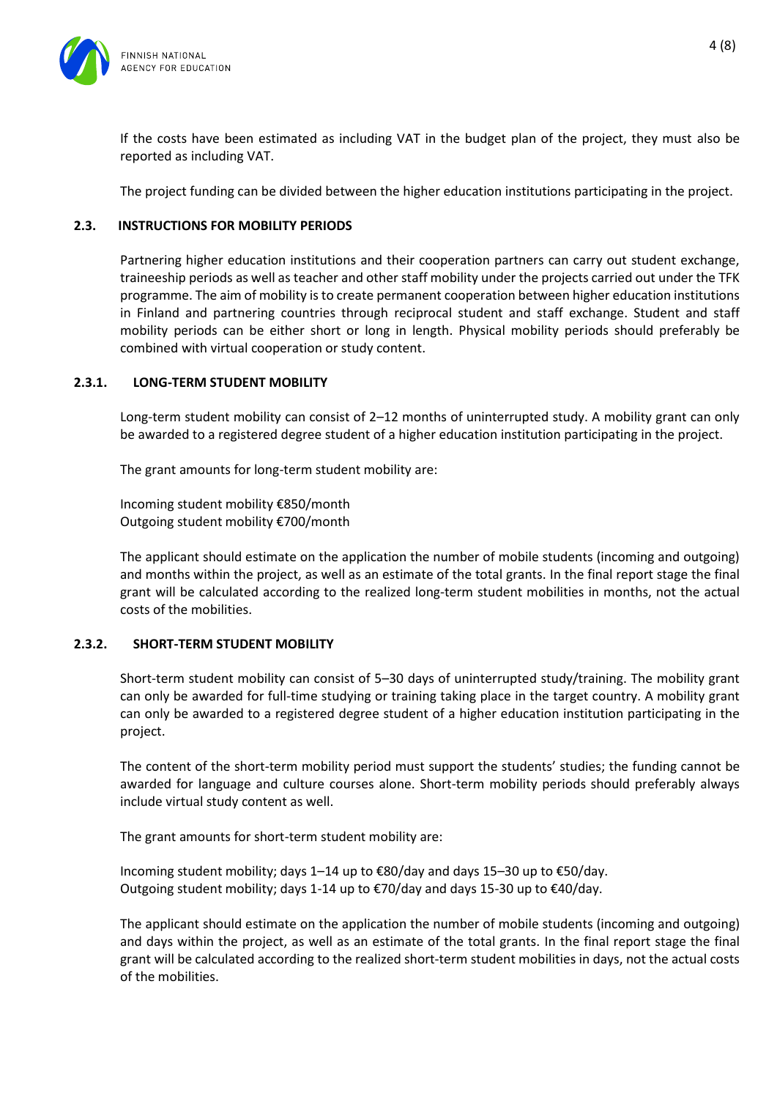

If the costs have been estimated as including VAT in the budget plan of the project, they must also be reported as including VAT.

The project funding can be divided between the higher education institutions participating in the project.

## <span id="page-3-0"></span>**2.3. INSTRUCTIONS FOR MOBILITY PERIODS**

Partnering higher education institutions and their cooperation partners can carry out student exchange, traineeship periods as well as teacher and other staff mobility under the projects carried out under the TFK programme. The aim of mobility is to create permanent cooperation between higher education institutions in Finland and partnering countries through reciprocal student and staff exchange. Student and staff mobility periods can be either short or long in length. Physical mobility periods should preferably be combined with virtual cooperation or study content.

#### <span id="page-3-1"></span>**2.3.1. LONG-TERM STUDENT MOBILITY**

Long-term student mobility can consist of 2–12 months of uninterrupted study. A mobility grant can only be awarded to a registered degree student of a higher education institution participating in the project.

The grant amounts for long-term student mobility are:

Incoming student mobility €850/month Outgoing student mobility €700/month

The applicant should estimate on the application the number of mobile students (incoming and outgoing) and months within the project, as well as an estimate of the total grants. In the final report stage the final grant will be calculated according to the realized long-term student mobilities in months, not the actual costs of the mobilities.

#### <span id="page-3-2"></span>**2.3.2. SHORT-TERM STUDENT MOBILITY**

Short-term student mobility can consist of 5–30 days of uninterrupted study/training. The mobility grant can only be awarded for full-time studying or training taking place in the target country. A mobility grant can only be awarded to a registered degree student of a higher education institution participating in the project.

The content of the short-term mobility period must support the students' studies; the funding cannot be awarded for language and culture courses alone. Short-term mobility periods should preferably always include virtual study content as well.

The grant amounts for short-term student mobility are:

Incoming student mobility; days 1–14 up to €80/day and days 15–30 up to €50/day. Outgoing student mobility; days 1-14 up to  $\epsilon$ 70/day and days 15-30 up to  $\epsilon$ 40/day.

The applicant should estimate on the application the number of mobile students (incoming and outgoing) and days within the project, as well as an estimate of the total grants. In the final report stage the final grant will be calculated according to the realized short-term student mobilities in days, not the actual costs of the mobilities.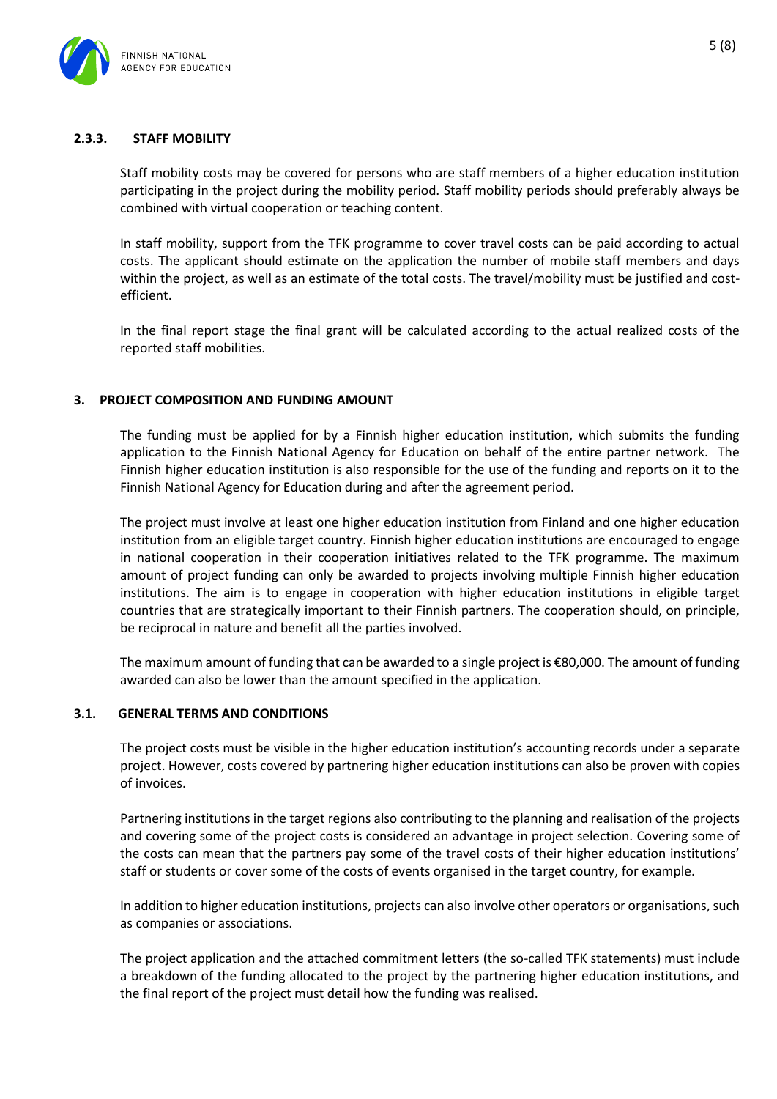

## <span id="page-4-0"></span>**2.3.3. STAFF MOBILITY**

Staff mobility costs may be covered for persons who are staff members of a higher education institution participating in the project during the mobility period. Staff mobility periods should preferably always be combined with virtual cooperation or teaching content.

In staff mobility, support from the TFK programme to cover travel costs can be paid according to actual costs. The applicant should estimate on the application the number of mobile staff members and days within the project, as well as an estimate of the total costs. The travel/mobility must be justified and costefficient.

In the final report stage the final grant will be calculated according to the actual realized costs of the reported staff mobilities.

#### <span id="page-4-1"></span>**3. PROJECT COMPOSITION AND FUNDING AMOUNT**

The funding must be applied for by a Finnish higher education institution, which submits the funding application to the Finnish National Agency for Education on behalf of the entire partner network. The Finnish higher education institution is also responsible for the use of the funding and reports on it to the Finnish National Agency for Education during and after the agreement period.

The project must involve at least one higher education institution from Finland and one higher education institution from an eligible target country. Finnish higher education institutions are encouraged to engage in national cooperation in their cooperation initiatives related to the TFK programme. The maximum amount of project funding can only be awarded to projects involving multiple Finnish higher education institutions. The aim is to engage in cooperation with higher education institutions in eligible target countries that are strategically important to their Finnish partners. The cooperation should, on principle, be reciprocal in nature and benefit all the parties involved.

The maximum amount of funding that can be awarded to a single project is €80,000. The amount of funding awarded can also be lower than the amount specified in the application.

#### <span id="page-4-2"></span>**3.1. GENERAL TERMS AND CONDITIONS**

The project costs must be visible in the higher education institution's accounting records under a separate project. However, costs covered by partnering higher education institutions can also be proven with copies of invoices.

Partnering institutions in the target regions also contributing to the planning and realisation of the projects and covering some of the project costs is considered an advantage in project selection. Covering some of the costs can mean that the partners pay some of the travel costs of their higher education institutions' staff or students or cover some of the costs of events organised in the target country, for example.

In addition to higher education institutions, projects can also involve other operators or organisations, such as companies or associations.

The project application and the attached commitment letters (the so-called TFK statements) must include a breakdown of the funding allocated to the project by the partnering higher education institutions, and the final report of the project must detail how the funding was realised.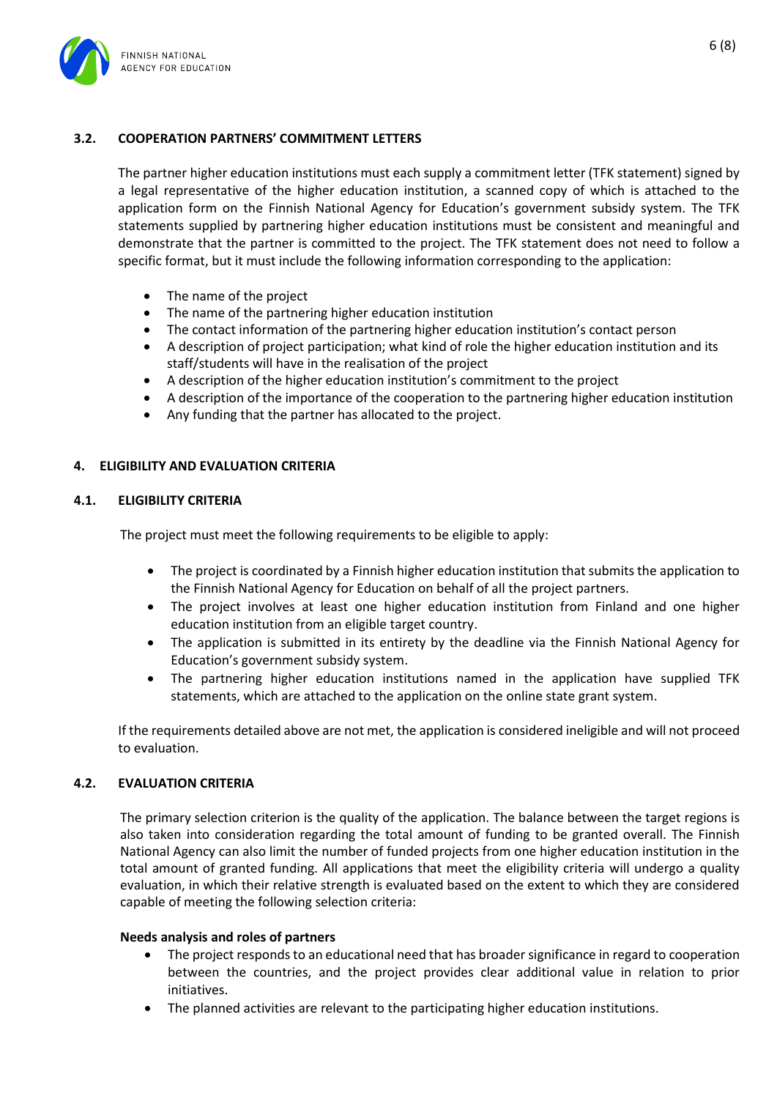

## <span id="page-5-0"></span>**3.2. COOPERATION PARTNERS' COMMITMENT LETTERS**

The partner higher education institutions must each supply a commitment letter (TFK statement) signed by a legal representative of the higher education institution, a scanned copy of which is attached to the application form on the Finnish National Agency for Education's government subsidy system. The TFK statements supplied by partnering higher education institutions must be consistent and meaningful and demonstrate that the partner is committed to the project. The TFK statement does not need to follow a specific format, but it must include the following information corresponding to the application:

- The name of the project
- The name of the partnering higher education institution
- The contact information of the partnering higher education institution's contact person
- A description of project participation; what kind of role the higher education institution and its staff/students will have in the realisation of the project
- A description of the higher education institution's commitment to the project
- A description of the importance of the cooperation to the partnering higher education institution
- Any funding that the partner has allocated to the project.

#### <span id="page-5-1"></span>**4. ELIGIBILITY AND EVALUATION CRITERIA**

#### <span id="page-5-2"></span>**4.1. ELIGIBILITY CRITERIA**

The project must meet the following requirements to be eligible to apply:

- The project is coordinated by a Finnish higher education institution that submits the application to the Finnish National Agency for Education on behalf of all the project partners.
- The project involves at least one higher education institution from Finland and one higher education institution from an eligible target country.
- The application is submitted in its entirety by the deadline via the Finnish National Agency for Education's government subsidy system.
- The partnering higher education institutions named in the application have supplied TFK statements, which are attached to the application on the online state grant system.

If the requirements detailed above are not met, the application is considered ineligible and will not proceed to evaluation.

#### <span id="page-5-3"></span>**4.2. EVALUATION CRITERIA**

The primary selection criterion is the quality of the application. The balance between the target regions is also taken into consideration regarding the total amount of funding to be granted overall. The Finnish National Agency can also limit the number of funded projects from one higher education institution in the total amount of granted funding. All applications that meet the eligibility criteria will undergo a quality evaluation, in which their relative strength is evaluated based on the extent to which they are considered capable of meeting the following selection criteria:

#### **Needs analysis and roles of partners**

- The project responds to an educational need that has broader significance in regard to cooperation between the countries, and the project provides clear additional value in relation to prior initiatives.
- The planned activities are relevant to the participating higher education institutions.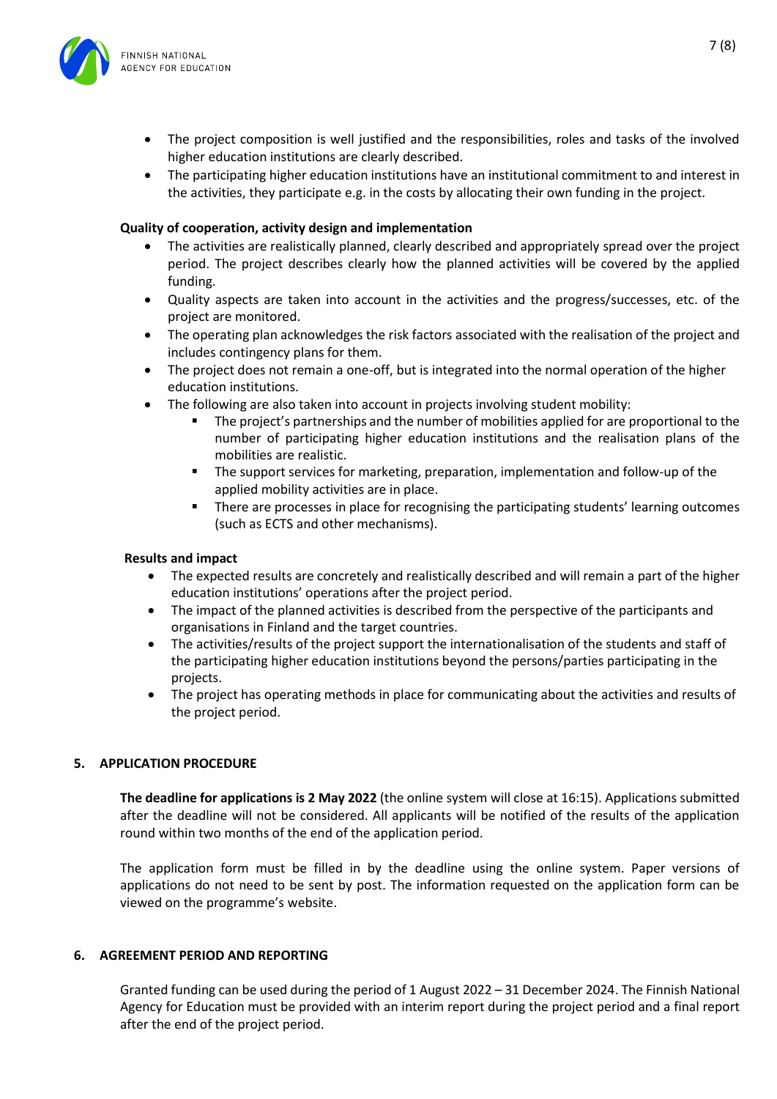

- The project composition is well justified and the responsibilities, roles and tasks of the involved higher education institutions are clearly described.
- The participating higher education institutions have an institutional commitment to and interest in the activities, they participate e.g. in the costs by allocating their own funding in the project.

#### **Quality of cooperation, activity design and implementation**

- The activities are realistically planned, clearly described and appropriately spread over the project period. The project describes clearly how the planned activities will be covered by the applied funding.
- Quality aspects are taken into account in the activities and the progress/successes, etc. of the project are monitored.
- The operating plan acknowledges the risk factors associated with the realisation of the project and includes contingency plans for them.
- The project does not remain a one-off, but is integrated into the normal operation of the higher education institutions.
	- The following are also taken into account in projects involving student mobility:
		- The project's partnerships and the number of mobilities applied for are proportional to the number of participating higher education institutions and the realisation plans of the mobilities are realistic.
		- **■** The support services for marketing, preparation, implementation and follow-up of the applied mobility activities are in place.
		- **•** There are processes in place for recognising the participating students' learning outcomes (such as ECTS and other mechanisms).

#### **Results and impact**

- The expected results are concretely and realistically described and will remain a part of the higher education institutions' operations after the project period.
- The impact of the planned activities is described from the perspective of the participants and organisations in Finland and the target countries.
- The activities/results of the project support the internationalisation of the students and staff of the participating higher education institutions beyond the persons/parties participating in the projects.
- The project has operating methods in place for communicating about the activities and results of the project period.

#### <span id="page-6-0"></span>**5. APPLICATION PROCEDURE**

**The deadline for applications is 2 May 2022** (the online system will close at 16:15). Applications submitted after the deadline will not be considered. All applicants will be notified of the results of the application round within two months of the end of the application period.

The application form must be filled in by the deadline using the online system. Paper versions of applications do not need to be sent by post. The information requested on the application form can be viewed on the programme's website.

#### <span id="page-6-1"></span>**6. AGREEMENT PERIOD AND REPORTING**

Granted funding can be used during the period of 1 August 2022 – 31 December 2024. The Finnish National Agency for Education must be provided with an interim report during the project period and a final report after the end of the project period.